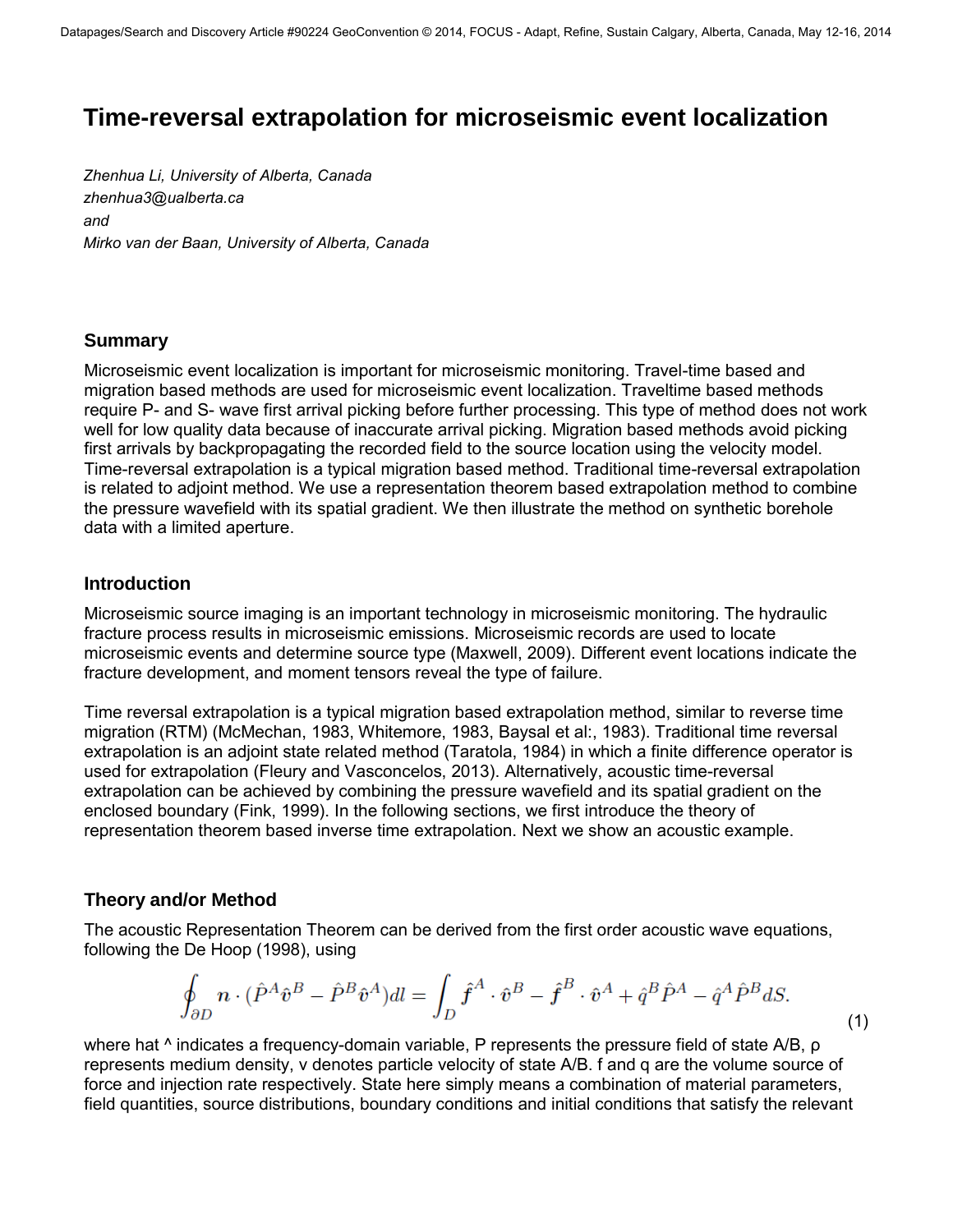# **Time-reversal extrapolation for microseismic event localization**

*Zhenhua Li, University of Alberta, Canada zhenhua3@ualberta.ca and [Mirko van der Baan, Uni](mailto:zhenhua3@ualberta.ca)versity of Alberta, Canada* 

## **Summary**

Microseismic event localization is important for microseismic monitoring. Travel-time based and migration based methods are used for microseismic event localization. Traveltime based methods require P- and S- wave first arrival picking before further processing. This type of method does not work well for low quality data because of inaccurate arrival picking. Migration based methods avoid picking first arrivals by backpropagating the recorded field to the source location using the velocity model. Time-reversal extrapolation is a typical migration based method. Traditional time-reversal extrapolation is related to adjoint method. We use a representation theorem based extrapolation method to combine the pressure wavefield with its spatial gradient. We then illustrate the method on synthetic borehole data with a limited aperture.

## **Introduction**

Microseismic source imaging is an important technology in microseismic monitoring. The hydraulic fracture process results in microseismic emissions. Microseismic records are used to locate microseismic events and determine source type (Maxwell, 2009). Different event locations indicate the fracture development, and moment tensors reveal the type of failure.

Time reversal extrapolation is a typical migration based extrapolation method, similar to reverse time migration (RTM) (McMechan, 1983, Whitemore, 1983, Baysal et al:, 1983). Traditional time reversal extrapolation is an adjoint state related method (Taratola, 1984) in which a finite difference operator is used for extrapolation (Fleury and Vasconcelos, 2013). Alternatively, acoustic time-reversal extrapolation can be achieved by combining the pressure wavefield and its spatial gradient on the enclosed boundary (Fink, 1999). In the following sections, we first introduce the theory of representation theorem based inverse time extrapolation. Next we show an acoustic example.

## **Theory and/or Method**

The acoustic Representation Theorem can be derived from the first order acoustic wave equations, following the De Hoop (1998), using

$$
\oint_{\partial D} n \cdot (\hat{P}^A \hat{v}^B - \hat{P}^B \hat{v}^A) dl = \int_D \hat{f}^A \cdot \hat{v}^B - \hat{f}^B \cdot \hat{v}^A + \hat{q}^B \hat{P}^A - \hat{q}^A \hat{P}^B dS.
$$
\n(1)

where hat <sup> $\land$ </sup> indicates a frequency-domain variable, P represents the pressure field of state A/B, ρ represents medium density, v denotes particle velocity of state A/B. f and q are the volume source of force and injection rate respectively. State here simply means a combination of material parameters, field quantities, source distributions, boundary conditions and initial conditions that satisfy the relevant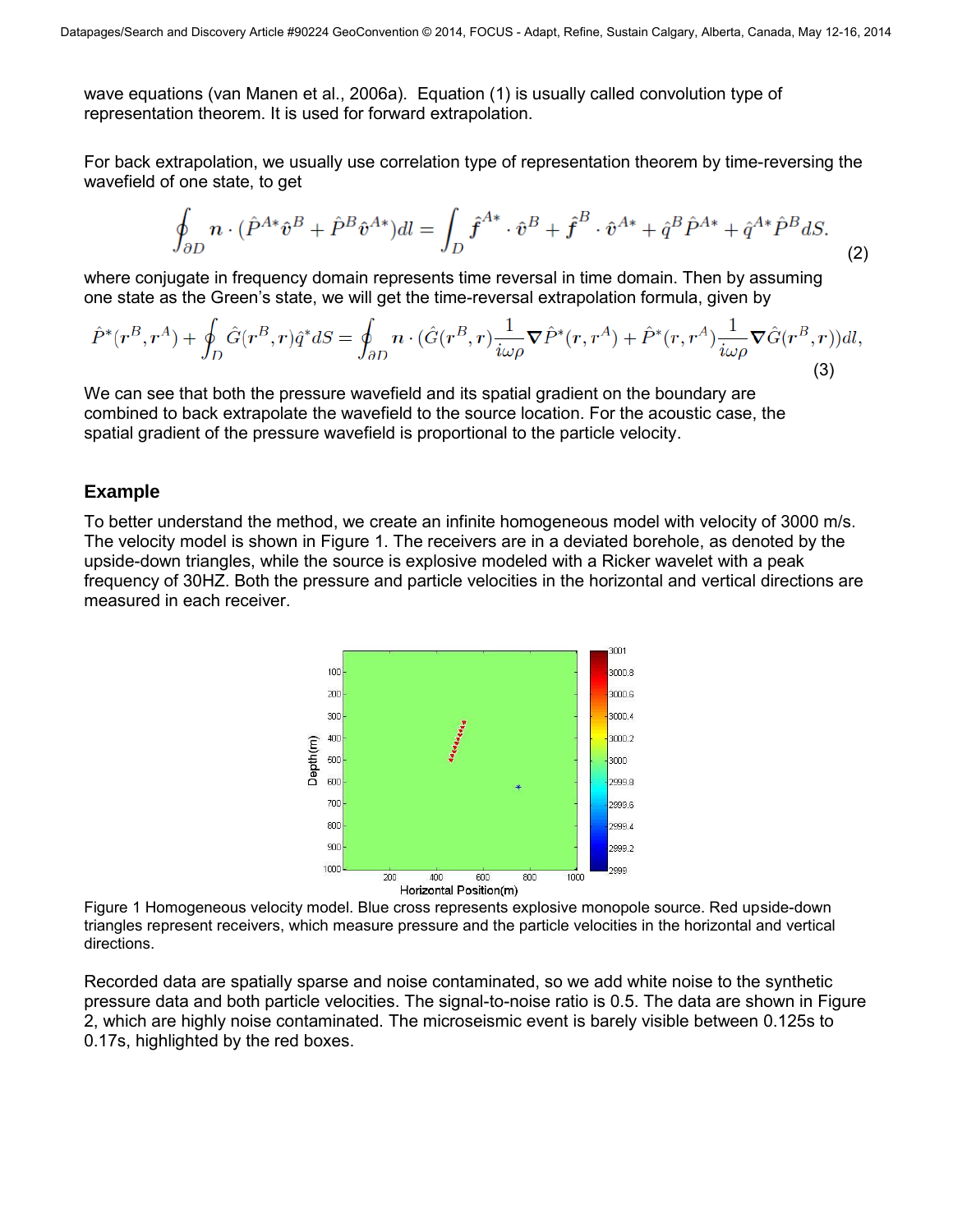wave equations (van Manen et al., 2006a). Equation (1) is usually called convolution type of representation theorem. It is used for forward extrapolation.

For back extrapolation, we usually use correlation type of representation theorem by time-reversing the wavefield of one state, to get

$$
\oint_{\partial D} n \cdot (\hat{P}^{A*} \hat{v}^B + \hat{P}^B \hat{v}^{A*}) dl = \int_D \hat{f}^{A*} \cdot \hat{v}^B + \hat{f}^B \cdot \hat{v}^{A*} + \hat{q}^B \hat{P}^{A*} + \hat{q}^{A*} \hat{P}^B dS. \tag{2}
$$

where conjugate in frequency domain represents time reversal in time domain. Then by assuming one state as the Green's state, we will get the time-reversal extrapolation formula, given by

$$
\hat{P}^*(r^B, r^A) + \oint_D \hat{G}(r^B, r)\hat{q}^* dS = \oint_{\partial D} n \cdot (\hat{G}(r^B, r)\frac{1}{i\omega\rho}\nabla \hat{P}^*(r, r^A) + \hat{P}^*(r, r^A)\frac{1}{i\omega\rho}\nabla \hat{G}(r^B, r))dl,
$$
\n(3)

We can see that both the pressure wavefield and its spatial gradient on the boundary are combined to back extrapolate the wavefield to the source location. For the acoustic case, the spatial gradient of the pressure wavefield is proportional to the particle velocity.

#### **Example**

To better understand the method, we create an infinite homogeneous model with velocity of 3000 m/s. The velocity model is shown in Figure 1. The receivers are in a deviated borehole, as denoted by the upside-down triangles, while the source is explosive modeled with a Ricker wavelet with a peak frequency of 30HZ. Both the pressure and particle velocities in the horizontal and vertical directions are measured in each receiver.



Figure 1 Homogeneous velocity model. Blue cross represents explosive monopole source. Red upside-down triangles represent receivers, which measure pressure and the particle velocities in the horizontal and vertical directions.

Recorded data are spatially sparse and noise contaminated, so we add white noise to the synthetic pressure data and both particle velocities. The signal-to-noise ratio is 0.5. The data are shown in Figure 2, which are highly noise contaminated. The microseismic event is barely visible between 0.125s to 0.17s, highlighted by the red boxes.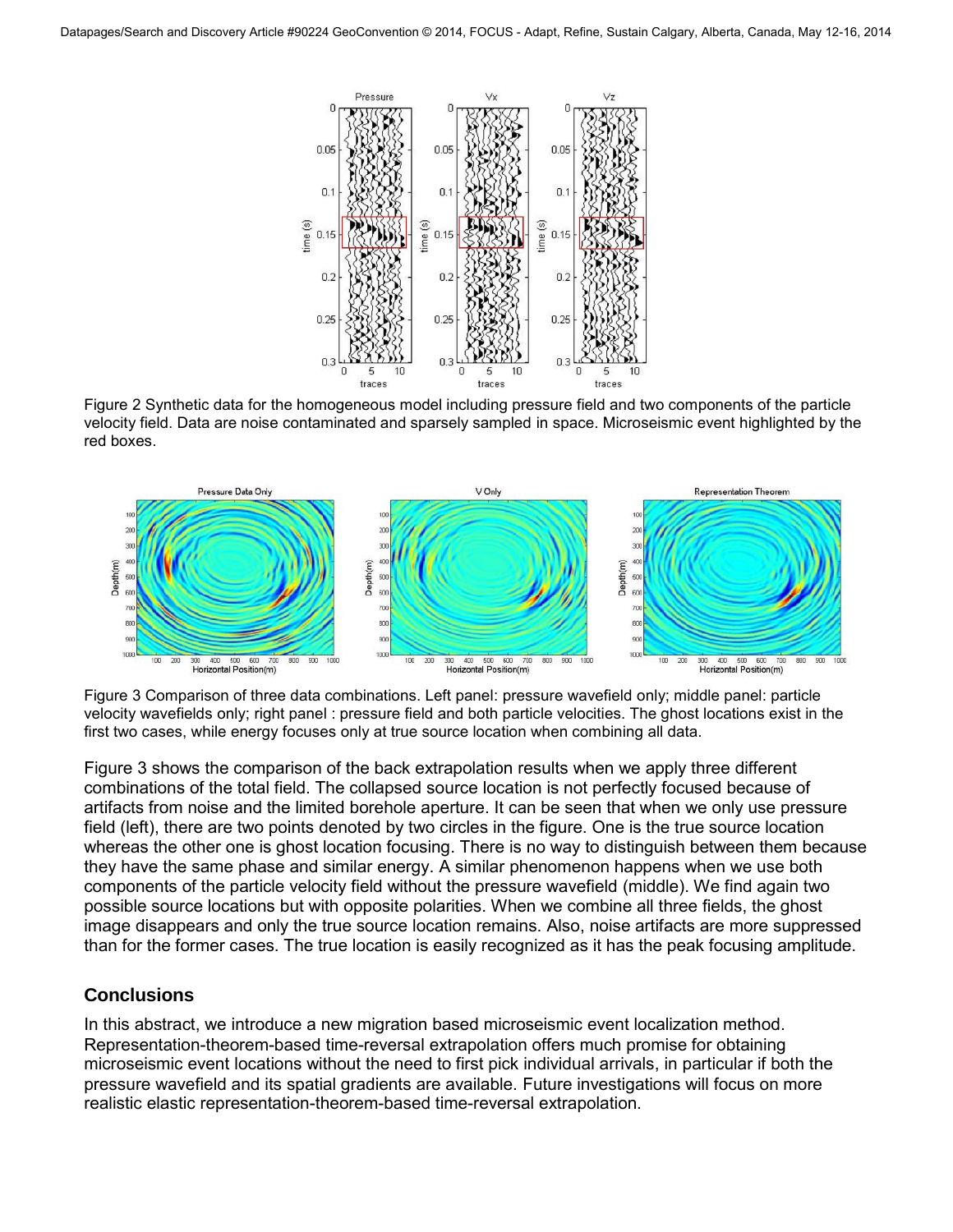

Figure 2 Synthetic data for the homogeneous model including pressure field and two components of the particle velocity field. Data are noise contaminated and sparsely sampled in space. Microseismic event highlighted by the red boxes.



Figure 3 Comparison of three data combinations. Left panel: pressure wavefield only; middle panel: particle velocity wavefields only; right panel : pressure field and both particle velocities. The ghost locations exist in the first two cases, while energy focuses only at true source location when combining all data.

Figure 3 shows the comparison of the back extrapolation results when we apply three different combinations of the total field. The collapsed source location is not perfectly focused because of artifacts from noise and the limited borehole aperture. It can be seen that when we only use pressure field (left), there are two points denoted by two circles in the figure. One is the true source location whereas the other one is ghost location focusing. There is no way to distinguish between them because they have the same phase and similar energy. A similar phenomenon happens when we use both components of the particle velocity field without the pressure wavefield (middle). We find again two possible source locations but with opposite polarities. When we combine all three fields, the ghost image disappears and only the true source location remains. Also, noise artifacts are more suppressed than for the former cases. The true location is easily recognized as it has the peak focusing amplitude.

## **Conclusions**

In this abstract, we introduce a new migration based microseismic event localization method. Representation-theorem-based time-reversal extrapolation offers much promise for obtaining microseismic event locations without the need to first pick individual arrivals, in particular if both the pressure wavefield and its spatial gradients are available. Future investigations will focus on more realistic elastic representation-theorem-based time-reversal extrapolation.